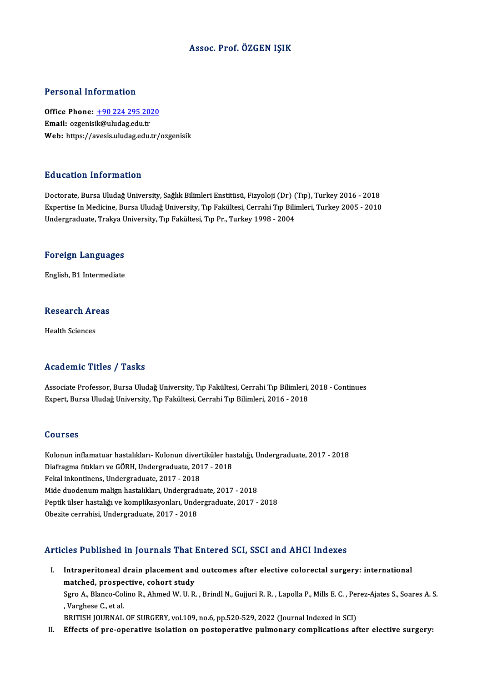#### Assoc. Prof. ÖZGEN IŞIK

#### Personal Information

Personal Information<br>Office Phone: <u>+90 224 295 2020</u><br>Email: excepisik@uludes.edu.tr 1 STOOMAT INTOTINATION<br>Office Phone: <u>+90 224 295 20.</u><br>Email: ozgenis[ik@uludag.edu.tr](tel:+90 224 295 2020) Email: ozgenisik@uludag.edu.tr<br>Web: https://avesis.uludag.edu.tr/ozgenisik

#### Education Information

Doctorate, Bursa Uludağ University, Sağlık Bilimleri Enstitüsü, Fizyoloji (Dr) (Tıp), Turkey 2016 - 2018 Eu u cucron Tinot Inderon<br>Doctorate, Bursa Uludağ University, Sağlık Bilimleri Enstitüsü, Fizyoloji (Dr) (Tıp), Turkey 2016 - 2018<br>Expertise In Medicine, Bursa Uludağ University, Tıp Fakültesi, Cerrahi Tıp Bilimleri, Turke Doctorate, Bursa Uludağ University, Sağlık Bilimleri Enstitüsü, Fizyoloji (Dr) (<br>Expertise In Medicine, Bursa Uludağ University, Tıp Fakültesi, Cerrahi Tıp Biliı<br>Undergraduate, Trakya University, Tıp Fakültesi, Tıp Pr., Tu

# <sub>Undergraduate, Trakya U<br>Foreign Languages</sub> F<mark>oreign Languages</mark><br>English, B1 Intermediate

# engusn, B1 Intermed<br>Research Areas R<mark>esearch Ar</mark><br>Health Sciences

# Academic Titles / Tasks

Academic Titles / Tasks<br>Associate Professor, Bursa Uludağ University, Tıp Fakültesi, Cerrahi Tıp Bilimleri, 2018 - Continues<br>Evnett Bursa Uludağ University, Tıp Fakültesi, Cerrahi Tıp Bilimleri, 2016 - 2019 ITCAACIIIIC ITCICE 7 TABILE<br>Associate Professor, Bursa Uludağ University, Tıp Fakültesi, Cerrahi Tıp Bilimleri,<br>Expert, Bursa Uludağ University, Tıp Fakültesi, Cerrahi Tıp Bilimleri, 2016 - 2018 Expert, Bursa Uludağ University, Tıp Fakültesi, Cerrahi Tıp Bilimleri, 2016 - 2018<br>Courses

Courses<br>Kolonun inflamatuar hastalıkları- Kolonun divertiküler hastalığı, Undergraduate, 2017 - 2018<br>Diafrasma fıtlıları ve CÖPH, Undergraduata 2017, 2018 SSATSSS<br>Kolonun inflamatuar hastalıkları- Kolonun divertiküler ha:<br>Diafragma fıtıkları ve GÖRH, Undergraduate, 2017 - 2018<br>Feltal inkentinens Undergraduate, 2017 - 2019 Kolonun inflamatuar hastalıkları- Kolonun diver<br>Diafragma fıtıkları ve GÖRH, Undergraduate, 201<br>Fekal inkontinens, Undergraduate, 2017 - 2018<br>Mide duodenum malim bastalıkları Undergradu Diafragma fitikları ve GÖRH, Undergraduate, 2017 - 2018<br>Fekal inkontinens, Undergraduate, 2017 - 2018<br>Mide duodenum malign hastalıkları, Undergraduate, 2017 - 2018<br>Pontik ülser hastalığı ve komplikasyonları, Undergraduate, Fekal inkontinens, Undergraduate, 2017 - 2018<br>Mide duodenum malign hastalıkları, Undergraduate, 2017 - 2018<br>Peptik ülser hastalığı ve komplikasyonları, Undergraduate, 2017 - 2018<br>Obezite cerrahisi, Undergraduate, 2017 - 20 Mide duodenum malign hastalıkları, Undergrad<br>Peptik ülser hastalığı ve komplikasyonları, Unde<br>Obezite cerrahisi, Undergraduate, 2017 - 2018

#### Articles Published in Journals That Entered SCI, SSCI and AHCI Indexes

rticles Published in Journals That Entered SCI, SSCI and AHCI Indexes<br>I. Intraperitoneal drain placement and outcomes after elective colorectal surgery: international<br>matched prespective sebert study Intraperitoneal drain placement and<br>matched, prospective, cohort study<br>Save A. Blance Goline B. Abmed W. U. B. Intraperitoneal drain placement and outcomes after elective colorectal surgery: international<br>matched, prospective, cohort study<br>Sgro A., Blanco-Colino R., Ahmed W. U. R. , Brindl N., Gujjuri R. R. , Lapolla P., Mills E. C matched, prospe<br>Sgro A., Blanco-Col<br>, Varghese C., et al.<br>PRITISH JOURNAL Sgro A., Blanco-Colino R., Ahmed W. U. R. , Brindl N., Gujjuri R. R. , Lapolla P., Mills E. C. , Per<br>, Varghese C., et al.<br>BRITISH JOURNAL OF SURGERY, vol.109, no.6, pp.520-529, 2022 (Journal Indexed in SCI)<br>Effects of are I . Varghese C., et al.<br>BRITISH JOURNAL OF SURGERY, vol.109, no.6, pp.520-529, 2022 (Journal Indexed in SCI)<br>II. Effects of pre-operative isolation on postoperative pulmonary complications after elective surgery: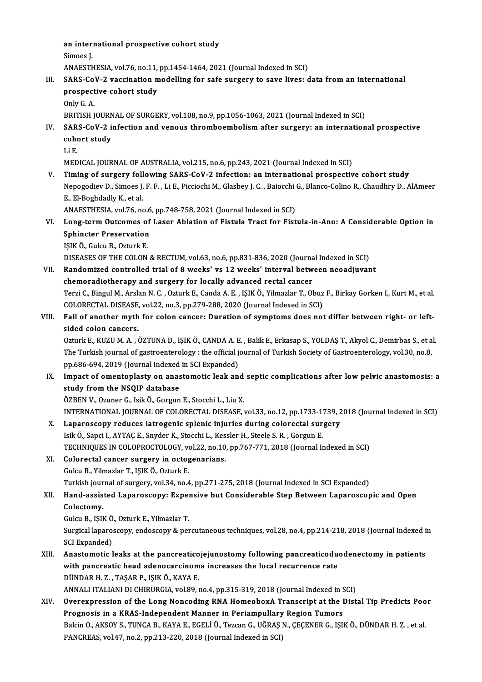an international prospective cohort study<br>Simoes I an inter:<br>Simoes J.<br>ANAESTL

Simoes J.<br>ANAESTHESIA, vol.76, no.11, pp.1454-1464, 2021 (Journal Indexed in SCI)

## Simoes J.<br>ANAESTHESIA, vol.76, no.11, pp.1454-1464, 2021 (Journal Indexed in SCI)<br>III. SARS-CoV-2 vaccination modelling for safe surgery to save lives: data from an international<br>preepective sebert study ANAESTHESIA, vol.76, no.11,<br>SARS-CoV-2 vaccination m<br>prospective cohort study<br>Only C A SARS-Co<br>prospect<br>Only G. A.<br>ppitisu i prospective cohort study<br>Only G. A.<br>BRITISH JOURNAL OF SURGERY, vol.108, no.9, pp.1056-1063, 2021 (Journal Indexed in SCI)<br>SARS CoV 2 infection and venous thromboombolism after surgery; an internation

- Only G. A.<br>BRITISH JOURNAL OF SURGERY, vol.108, no.9, pp.1056-1063, 2021 (Journal Indexed in SCI)<br>IV. SARS-CoV-2 infection and venous thromboembolism after surgery: an international prospective<br>cobort study BRITISH JOURN<br>SARS-CoV-2 i<br>cohort study<br>Li E SAR<br>coho<br>Li E.<br>MED cohort study<br>Li E.<br>MEDICAL JOURNAL OF AUSTRALIA, vol.215, no.6, pp.243, 2021 (Journal Indexed in SCI)<br>Timing of surgery following SABS CoV.2 infection: on international prognectiv
	-

Li E.<br>MEDICAL JOURNAL OF AUSTRALIA, vol.215, no.6, pp.243, 2021 (Journal Indexed in SCI)<br>V. Timing of surgery following SARS-CoV-2 infection: an international prospective cohort study<br>Nepesediav D. Simess J. E. E. Li E. Bi MEDICAL JOURNAL OF AUSTRALIA, vol.215, no.6, pp.243, 2021 (Journal Indexed in SCI)<br>Timing of surgery following SARS-CoV-2 infection: an international prospective cohort study<br>Nepogodiev D., Simoes J. F. F. , Li E., Piccioc V. Timing of surgery following SARS-CoV-2 infection: an international prospective cohort study<br>Nepogodiev D., Simoes J. F. F., Li E., Picciochi M., Glasbey J. C., Baiocchi G., Blanco-Colino R., Chaudhry D., A<br>E., El-Boghda Nepogodiev D., Simoes J. F. F. , Li E., Picciochi M., Glasbey J. C. , Baiocchi<br>E., El-Boghdadly K., et al.<br>ANAESTHESIA, vol.76, no.6, pp.748-758, 2021 (Journal Indexed in SCI)<br>Long term Outsomes of Laser Ablation of Fistul

E., El-Boghdadly K., et al.<br>ANAESTHESIA, vol.76, no.6, pp.748-758, 2021 (Journal Indexed in SCI)<br>VI. Long-term Outcomes of Laser Ablation of Fistula Tract for Fistula-in-Ano: A Considerable Option in<br>Sphingtor Procorys ANAESTHESIA, vol.76, no.6, pp.748-758, 2021 (Journal Indexed in SCI)<br>Long-term Outcomes of Laser Ablation of Fistula Tract for Fist<br>Sphincter Preservation<br>ISIK Ö., Gulcu B., Ozturk E. Long-term Outcomes of<br>Sphincter Preservation<br>IŞIK Ö., Gulcu B., Ozturk E.<br>DISEASES OF TUE COLON Sphincter Preservation<br>IŞIK Ö., Gulcu B., Ozturk E.<br>DISEASES OF THE COLON & RECTUM, vol.63, no.6, pp.831-836, 2020 (Journal Indexed in SCI)<br>Pendemined sentrelled trial of 8 weeks' vs.12 weeks' interval between neeediwer

- VII. Randomized controlled trial of 8 weeks' vs 12 weeks' interval between neoadjuvant chemoradiotherapy and surgery for locally advanced rectal cancer DISEASES OF THE COLON & RECTUM, vol.63, no.6, pp.831-836, 2020 (Journa<br>Randomized controlled trial of 8 weeks' vs 12 weeks' interval betw<br>chemoradiotherapy and surgery for locally advanced rectal cancer<br>Terri C. Bingul M. Terzi C., Bingul M., Arslan N. C., Ozturk E., Canda A. E., IŞIKÖ., Yilmazlar T., Obuz F., Birkay Gorken I., Kurt M., et al. chemoradiotherapy and surgery for locally advanced rectal cancer<br>Terzi C., Bingul M., Arslan N. C. , Ozturk E., Canda A. E. , IŞIK Ö., Yilmazlar T., Obuz<br>COLORECTAL DISEASE, vol.22, no.3, pp.279-288, 2020 (Journal Indexed
- VIII. Fall of another myth for colon cancer: Duration of symptoms does not differ between right- or left-<br>sided colon cancers. COLORECTAL DISEASE,<br>Fall of another myth<br>sided colon cancers. Fall of another myth for colon cancer: Duration of symptoms does not differ between right- or left-<br>sided colon cancers.<br>Ozturk E., KUZU M. A. , ÖZTUNA D., IŞIK Ö., CANDA A. E. , Balik E., Erkasap S., YOLDAŞ T., Akyol C.,

sided colon cancers.<br>Ozturk E., KUZU M. A. , ÖZTUNA D., IŞIK Ö., CANDA A. E. , Balik E., Erkasap S., YOLDAŞ T., Akyol C., Demirbas S., et a<br>The Turkish journal of gastroenterology : the official journal of Turkish Society Ozturk E., KUZU M. A. , ÖZTUNA D., IŞIK Ö., CANDA A. E<br>The Turkish journal of gastroenterology : the official j<br>pp.686-694, 2019 (Journal Indexed in SCI Expanded)<br>Impect of ementeplesty on apestematie leek an The Turkish journal of gastroenterology : the official journal of Turkish Society of Gastroenterology, vol.30, no.8,<br>pp.686-694, 2019 (Journal Indexed in SCI Expanded)<br>IX. Impact of omentoplasty on anastomotic leak and sep

# pp.686-694, 2019 (Journal Indexed<br>Impact of omentoplasty on anas<br>study from the NSQIP database<br>ÖZPEN V. Omner C. Jeik Ö. Ceraun Impact of omentoplasty on anastomotic leak and<br>study from the NSQIP database<br>ÖZBEN V., Ozuner G., Isik Ö., Gorgun E., Stocchi L., Liu X.<br>INTERNATIONAL JOURNAL OF COLORECTAL DISEASE : study from the NSQIP database<br>ÖZBEN V., Ozuner G., Isik Ö., Gorgun E., Stocchi L., Liu X.<br>INTERNATIONAL JOURNAL OF COLORECTAL DISEASE, vol.33, no.12, pp.1733-1739, 2018 (Journal Indexed in SCI)<br>Lananossony reduses istrogen

- ÖZBEN V., Ozuner G., Isik Ö., Gorgun E., Stocchi L., Liu X.<br>INTERNATIONAL JOURNAL OF COLORECTAL DISEASE, vol.33, no.12, pp.1733-1739, 2<br>X. Laparoscopy reduces iatrogenic splenic injuries during colorectal surgery<br>Isik Ö INTERNATIONAL JOURNAL OF COLORECTAL DISEASE, vol.33, no.12, pp.1733-1<br>Laparoscopy reduces iatrogenic splenic injuries during colorectal sur<br>Isik Ö., Sapci I., AYTAÇ E., Snyder K., Stocchi L., Kessler H., Steele S. R. , Gor Laparoscopy reduces iatrogenic splenic injuries during colorectal surgery<br>Isik Ö., Sapci I., AYTAÇ E., Snyder K., Stocchi L., Kessler H., Steele S. R. , Gorgun E.<br>TECHNIQUES IN COLOPROCTOLOGY, vol.22, no.10, pp.767-771, 20
- XI. Colorectal cancer surgery in octogenarians. TECHNIQUES IN COLOPROCTOLOGY, vo<br>Colorectal cancer surgery in octog<br>Gulcu B., Yilmazlar T., IŞIK Ö., Ozturk E.<br>Turkish journal of surgery, vol 34, no 4 Colorectal cancer surgery in octogenarians.<br>Gulcu B., Yilmazlar T., IŞIK Ö., Ozturk E.<br>Turkish journal of surgery, vol.34, no.4, pp.271-275, 2018 (Journal Indexed in SCI Expanded)<br>Hand assisted Lanaressenyy, Expansive but

### XII. Hand-assisted Laparoscopy: Expensive but Considerable Step Between Laparoscopic and Open<br>Colectomy. Turkish jour<br>Hand-assis<br>Colectomy.<br>Culcu B. ISII Hand-assisted Laparoscopy: Exper<br>Colectomy.<br>Gulcu B., IŞIK Ö., Ozturk E., Yilmazlar T.<br>Surgical laparoscopy: ondoscopy: & per

Surgical laparoscopy, endoscopy & percutaneous techniques, vol.28, no.4, pp.214-218, 2018 (Journal Indexed in<br>SCI Expanded) Gulcu B., IŞIK Ö<br>Surgical laparo:<br>SCI Expanded)<br>Anastamatis l Surgical laparoscopy, endoscopy & percutaneous techniques, vol.28, no.4, pp.214-218, 2018 (Journal Indexed i<br>SCI Expanded)<br>XIII. Anastomotic leaks at the pancreaticojejunostomy following pancreaticoduodenectomy in patients

SCI Expanded)<br>Anastomotic leaks at the pancreaticojejunostomy following pancreaticodu<br>with pancreatic head adenocarcinoma increases the local recurrence rate<br>PÜNDAR H Z - TASAR R JSIKÖ, KAVA F Anastomotic leaks at the pancreatico<br>with pancreatic head adenocarcinom<br>DÜNDAR H. Z. , TAŞAR P., IŞIK Ö., KAYA E.<br>ANNALLITALIANLDI CHIPUPCIA vel89 . with pancreatic head adenocarcinoma increases the local recurrence rate<br>DÜNDAR H. Z. , TAŞAR P., IŞIK Ö., KAYA E.<br>ANNALI ITALIANI DI CHIRURGIA, vol.89, no.4, pp.315-319, 2018 (Journal Indexed in SCI)<br>Queneunnession of the

DÜNDAR H. Z. , TAŞAR P., IŞIK Ö., KAYA E.<br>ANNALI ITALIANI DI CHIRURGIA, vol.89, no.4, pp.315-319, 2018 (Journal Indexed in SCI)<br>XIV. Overexpression of the Long Noncoding RNA HomeoboxA Transcript at the Distal Tip Predi ANNALI ITALIANI DI CHIRURGIA, vol.89, no.4, pp.315-319, 2018 (Journal Indexed in S<br>Overexpression of the Long Noncoding RNA HomeoboxA Transcript at the l<br>Prognosis in a KRAS-Independent Manner in Periampullary Region Tumor Overexpression of the Long Noncoding RNA HomeoboxA Transcript at the Distal Tip Predicts Poo<br>Prognosis in a KRAS-Independent Manner in Periampullary Region Tumors<br>Balcin O., AKSOY S., TUNCA B., KAYA E., EGELİ Ü., Tezcan G. Prognosis in a KRAS-Independent Manner in Periampullary Region Tumors<br>Balcin O., AKSOY S., TUNCA B., KAYA E., EGELI Ü., Tezcan G., UĞRAŞ N., ÇEÇENER G., IŞIK Ö., DÜNDAR H. Z. , et al.<br>PANCREAS, vol.47, no.2, pp.213-220, 20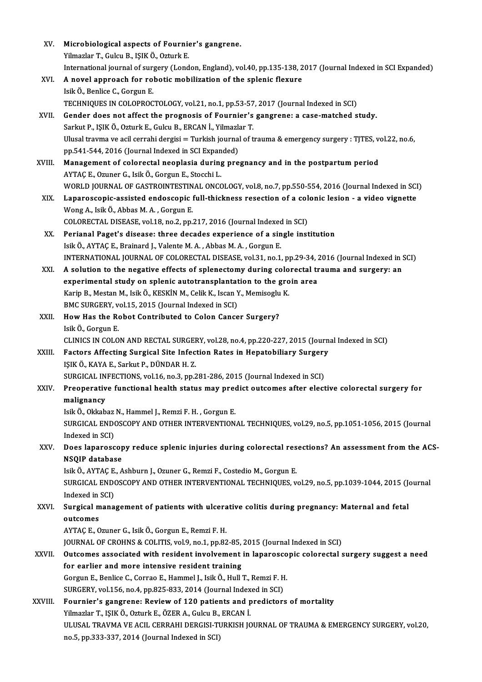| XV.         | Microbiological aspects of Fournier's gangrene.                                                                |
|-------------|----------------------------------------------------------------------------------------------------------------|
|             | Yilmazlar T., Gulcu B., IŞIK Ö., Ozturk E.                                                                     |
|             | International journal of surgery (London, England), vol.40, pp.135-138, 2017 (Journal Indexed in SCI Expanded) |
| XVI.        | A novel approach for robotic mobilization of the splenic flexure                                               |
|             | Isik Ö., Benlice C., Gorgun E.                                                                                 |
|             | TECHNIQUES IN COLOPROCTOLOGY, vol.21, no.1, pp.53-57, 2017 (Journal Indexed in SCI)                            |
| XVII.       | Gender does not affect the prognosis of Fournier's gangrene: a case-matched study.                             |
|             | Sarkut P., IŞIK Ö., Ozturk E., Gulcu B., ERCAN İ., Yilmazlar T.                                                |
|             | Ulusal travma ve acil cerrahi dergisi = Turkish journal of trauma & emergency surgery : TJTES, vol.22, no.6,   |
|             | pp.541-544, 2016 (Journal Indexed in SCI Expanded)                                                             |
| XVIII.      | Management of colorectal neoplasia during pregnancy and in the postpartum period                               |
|             | AYTAÇ E., Ozuner G., Isik Ö., Gorgun E., Stocchi L.                                                            |
|             | WORLD JOURNAL OF GASTROINTESTINAL ONCOLOGY, vol.8, no.7, pp.550-554, 2016 (Journal Indexed in SCI)             |
| XIX.        | Laparoscopic-assisted endoscopic full-thickness resection of a colonic lesion - a video vignette               |
|             | Wong A., Isik Ö., Abbas M. A., Gorgun E.                                                                       |
|             | COLORECTAL DISEASE, vol.18, no.2, pp.217, 2016 (Journal Indexed in SCI)                                        |
| XX.         | Perianal Paget's disease: three decades experience of a single institution                                     |
|             | Isik Ö., AYTAÇ E., Brainard J., Valente M. A., Abbas M. A., Gorgun E.                                          |
|             | INTERNATIONAL JOURNAL OF COLORECTAL DISEASE, vol.31, no.1, pp.29-34, 2016 (Journal Indexed in SCI)             |
| XXI.        | A solution to the negative effects of splenectomy during colorectal trauma and surgery: an                     |
|             | experimental study on splenic autotransplantation to the groin area                                            |
|             | Karip B., Mestan M., Isik Ö., KESKİN M., Celik K., Iscan Y., Memisoglu K.                                      |
|             | BMC SURGERY, vol.15, 2015 (Journal Indexed in SCI)                                                             |
| XXII.       | How Has the Robot Contributed to Colon Cancer Surgery?                                                         |
|             | Isik Ö., Gorgun E.                                                                                             |
|             | CLINICS IN COLON AND RECTAL SURGERY, vol.28, no.4, pp.220-227, 2015 (Journal Indexed in SCI)                   |
| XXIII.      | Factors Affecting Surgical Site Infection Rates in Hepatobiliary Surgery                                       |
|             | IŞIK Ö., KAYA E., Sarkut P., DÜNDAR H. Z.                                                                      |
|             | SURGICAL INFECTIONS, vol.16, no.3, pp.281-286, 2015 (Journal Indexed in SCI)                                   |
| XXIV        | Preoperative functional health status may predict outcomes after elective colorectal surgery for               |
|             | malignancy                                                                                                     |
|             | Isik Ö., Okkabaz N., Hammel J., Remzi F. H., Gorgun E.                                                         |
|             | SURGICAL ENDOSCOPY AND OTHER INTERVENTIONAL TECHNIQUES, vol.29, no.5, pp.1051-1056, 2015 (Journal              |
|             | Indexed in SCI)                                                                                                |
| XXV.        | Does laparoscopy reduce splenic injuries during colorectal resections? An assessment from the ACS-             |
|             | <b>NSQIP</b> database                                                                                          |
|             | Isik Ö., AYTAÇ E., Ashburn J., Ozuner G., Remzi F., Costedio M., Gorgun E.                                     |
|             | SURGICAL ENDOSCOPY AND OTHER INTERVENTIONAL TECHNIQUES, vol.29, no.5, pp.1039-1044, 2015 (Journal              |
|             | Indexed in SCI)                                                                                                |
| <b>XXVI</b> | Surgical management of patients with ulcerative colitis during pregnancy: Maternal and fetal                   |
|             | outcomes                                                                                                       |
|             | AYTAÇ E., Ozuner G., Isik Ö., Gorgun E., Remzi F. H.                                                           |
|             | JOURNAL OF CROHNS & COLITIS, vol.9, no.1, pp.82-85, 2015 (Journal Indexed in SCI)                              |
| XXVII.      | Outcomes associated with resident involvement in laparoscopic colorectal surgery suggest a need                |
|             | for earlier and more intensive resident training                                                               |
|             | Gorgun E., Benlice C., Corrao E., Hammel J., Isik Ö., Hull T., Remzi F. H.                                     |
|             | SURGERY, vol.156, no.4, pp.825-833, 2014 (Journal Indexed in SCI)                                              |
| XXVIII.     | Fournier's gangrene: Review of 120 patients and predictors of mortality                                        |
|             | Yilmazlar T., IŞIK Ö., Ozturk E., ÖZER A., Gulcu B., ERCAN İ.                                                  |
|             | ULUSAL TRAVMA VE ACIL CERRAHI DERGISI-TURKISH JOURNAL OF TRAUMA & EMERGENCY SURGERY, vol.20,                   |
|             | no.5, pp.333-337, 2014 (Journal Indexed in SCI)                                                                |
|             |                                                                                                                |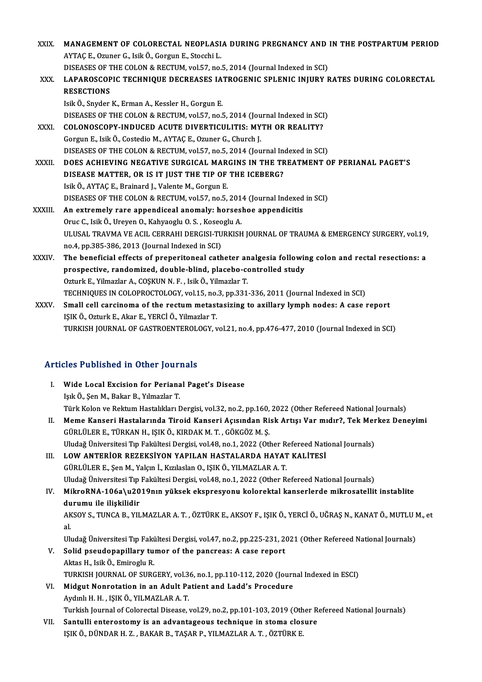| XXIX.   | MANAGEMENT OF COLORECTAL NEOPLASIA DURING PREGNANCY AND IN THE POSTPARTUM PERIOD                    |
|---------|-----------------------------------------------------------------------------------------------------|
|         | AYTAÇ E., Ozuner G., Isik Ö., Gorgun E., Stocchi L.                                                 |
|         | DISEASES OF THE COLON & RECTUM, vol.57, no.5, 2014 (Journal Indexed in SCI)                         |
| XXX.    | LAPAROSCOPIC TECHNIQUE DECREASES IATROGENIC SPLENIC INJURY RATES DURING COLORECTAL                  |
|         | <b>RESECTIONS</b>                                                                                   |
|         | Isik Ö., Snyder K., Erman A., Kessler H., Gorgun E.                                                 |
|         | DISEASES OF THE COLON & RECTUM, vol.57, no.5, 2014 (Journal Indexed in SCI)                         |
| XXXI.   | COLONOSCOPY-INDUCED ACUTE DIVERTICULITIS: MYTH OR REALITY?                                          |
|         | Gorgun E., Isik Ö., Costedio M., AYTAÇ E., Ozuner G., Church J.                                     |
|         | DISEASES OF THE COLON & RECTUM, vol.57, no.5, 2014 (Journal Indexed in SCI)                         |
| XXXII.  | DOES ACHIEVING NEGATIVE SURGICAL MARGINS IN THE TREATMENT OF PERIANAL PAGET'S                       |
|         | DISEASE MATTER, OR IS IT JUST THE TIP OF THE ICEBERG?                                               |
|         | Isik Ö., AYTAÇ E., Brainard J., Valente M., Gorgun E.                                               |
|         | DISEASES OF THE COLON & RECTUM, vol.57, no.5, 2014 (Journal Indexed in SCI)                         |
| XXXIII. | An extremely rare appendiceal anomaly: horseshoe appendicitis                                       |
|         | Oruc C., Isik Ö., Ureyen O., Kahyaoglu O. S., Koseoglu A.                                           |
|         | ULUSAL TRAVMA VE ACIL CERRAHI DERGISI-TURKISH JOURNAL OF TRAUMA & EMERGENCY SURGERY, vol.19,        |
|         | no 4, pp 385-386, 2013 (Journal Indexed in SCI)                                                     |
| XXXIV.  | The beneficial effects of preperitoneal catheter analgesia following colon and rectal resections: a |
|         | prospective, randomized, double-blind, placebo-controlled study                                     |
|         | Ozturk E., Yilmazlar A., COŞKUN N. F., Isik Ö., Yilmazlar T.                                        |
|         | TECHNIQUES IN COLOPROCTOLOGY, vol.15, no.3, pp.331-336, 2011 (Journal Indexed in SCI)               |
| XXXV.   | Small cell carcinoma of the rectum metastasizing to axillary lymph nodes: A case report             |
|         | IŞIK Ö., Ozturk E., Akar E., YERCİ Ö., Yilmazlar T.                                                 |
|         | TURKISH JOURNAL OF GASTROENTEROLOGY, vol.21, no.4, pp.476-477, 2010 (Journal Indexed in SCI)        |

# rticles Published in Other Journals<br>I. Wide Local Excision for Perianal Paget's Disease Isto Tubishou in Other Journal<br>Işık Ö., Şen M., Bakar B., Yılmazlar T.<br>Türk Kolon ve Beltium Hestellilem I. Wide Local Excision for Perianal Paget's Disease<br>Işık Ö., Şen M., Bakar B., Yılmazlar T.<br>Türk Kolon ve Rektum Hastalıkları Dergisi, vol.32, no.2, pp.160, 2022 (Other Refereed National Journals)<br>Mama Kansari Hastalarında Ti

|      | Işık Ö., Şen M., Bakar B., Yılmazlar T.                                                                  |
|------|----------------------------------------------------------------------------------------------------------|
|      | Türk Kolon ve Rektum Hastalıkları Dergisi, vol.32, no.2, pp.160, 2022 (Other Refereed National Journals) |
| П.   | Meme Kanseri Hastalarında Tiroid Kanseri Açısından Risk Artışı Var mıdır?, Tek Merkez Deneyimi           |
|      | GÜRLÜLER E., TÜRKAN H., IŞIK Ö., KIRDAK M. T., GÖKGÖZ M. Ş.                                              |
|      | Uludağ Üniversitesi Tıp Fakültesi Dergisi, vol.48, no.1, 2022 (Other Refereed National Journals)         |
| III. | LOW ANTERIOR REZEKSIYON YAPILAN HASTALARDA HAYAT KALITESI                                                |
|      | $C$ ÜDI ÜLED E. San M. Volam İ. Vurladan O. KUZÖ, VILMAZLAD A. T                                         |

### GÜRLÜLERE.,ŞenM.,Yalçınİ.,KızılaslanO., IŞIKÖ.,YILMAZLARA.T. Uludağ Üniversitesi Tıp Fakültesi Dergisi, vol.48, no.1, 2022 (Other Refereed National Journals) GÜRLÜLER E., Şen M., Yalçın İ., Kızılaslan O., IŞIK Ö., YILMAZLAR A. T.<br>Uludağ Üniversitesi Tıp Fakültesi Dergisi, vol.48, no.1, 2022 (Other Refereed National Journals)<br>IV. MikroRNA-106a\u2019nın yüksek ekspresyonu kol

# Uludağ Üniversitesi Tıp<br>MikroRNA-106a\u20<br>durumu ile ilişkilidir<br>AKSOV S. TUNCA B. VU MikroRNA-106a\u2019nın yüksek ekspresyonu kolorektal kanserlerde mikrosatellit instablite<br>durumu ile ilişkilidir<br>AKSOY S., TUNCA B., YILMAZLAR A. T. , ÖZTÜRK E., AKSOY F., IŞIK Ö., YERCİ Ö., UĞRAŞ N., KANAT Ö., MUTLU M., e du<br>AK<br>al<br>111.

AKSOY S., TUNCA B., YILMAZLAR A. T. , ÖZTÜRK E., AKSOY F., IŞIK Ö., YERCİ Ö., UĞRAŞ N., KANAT Ö., MUTLU M., et<br>al.<br>Uludağ Üniversitesi Tıp Fakültesi Dergisi, vol.47, no.2, pp.225-231, 2021 (Other Refereed National Journals

# al.<br>Uludağ Üniversitesi Tıp Fakültesi Dergisi, vol.47, no.2, pp.225-231, 2<br>V. Solid pseudopapillary tumor of the pancreas: A case report<br>Altee H. Jeik Ö. Emireslu P.

- Uludağ Üniversitesi Tıp Fakü<br>Solid pseudopapillary tu:<br>Aktas H., Isik Ö., Emiroglu R.<br>TURKISH JOURNAL OF SURC Solid pseudopapillary tumor of the pancreas: A case report<br>Aktas H., Isik Ö., Emiroglu R.<br>TURKISH JOURNAL OF SURGERY, vol.36, no.1, pp.110-112, 2020 (Journal Indexed in ESCI)<br>Midsut Norretation in an Adult Petient and Ladd Aktas H., Isik Ö., Emiroglu R.<br>TURKISH JOURNAL OF SURGERY, vol.36, no.1, pp.110-112, 2020 (Journ<br>VI. Midgut Nonrotation in an Adult Patient and Ladd's Procedure<br>Arduhl H. H. ISIK Ö. VII MAZI AR A. T
- TURKISH JOURNAL OF SURGERY, vol.3<br>Midgut Nonrotation in an Adult Pa<br>Aydınlı H. H. , IŞIK Ö., YILMAZLAR A. T.<br>Turkish Journal of Colonestal Disease . Midgut Nonrotation in an Adult Patient and Ladd's Procedure<br>Aydınlı H. H. , IŞIK Ö., YILMAZLAR A. T.<br>Turkish Journal of Colorectal Disease, vol.29, no.2, pp.101-103, 2019 (Other Refereed National Journals) Aydınlı H. H., IŞIK Ö., YILMAZLAR A. T.<br>Turkish Journal of Colorectal Disease, vol.29, no.2, pp.101-103, 2019 (Other R.<br>VII. Santulli enterostomy is an advantageous technique in stoma closure<br>ISIK Ö. DÜNDAR H. Z., RAKAR R.

Turkish Journal of Colorectal Disease, vol.29, no.2, pp.101-103, 2019 (Oth<br>Santulli enterostomy is an advantageous technique in stoma clos<br>IŞIK Ö., DÜNDAR H. Z. , BAKAR B., TAŞAR P., YILMAZLAR A. T. , ÖZTÜRK E.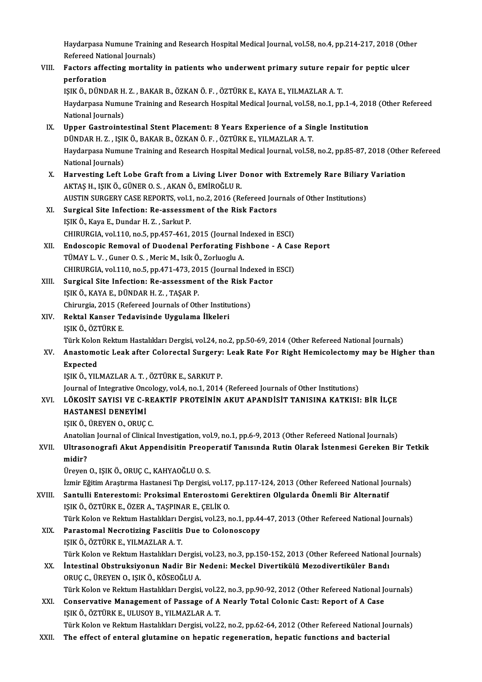Haydarpasa Numune Training and Research Hospital Medical Journal, vol.58, no.4, pp.214-217, 2018 (Other<br>Refereed National Journals) Haydarpasa Numune Trainin<br>Refereed National Journals)<br>Fostore offecting montalit Refereed National Journals)

|        | Haydarpasa Numune Training and Research Hospital Medical Journal, vol.58, no.4, pp.214-217, 2018 (Other<br>Refereed National Journals) |
|--------|----------------------------------------------------------------------------------------------------------------------------------------|
| VIII.  | Factors affecting mortality in patients who underwent primary suture repair for peptic ulcer                                           |
|        | perforation                                                                                                                            |
|        | IŞIK Ö., DÜNDAR H. Z., BAKAR B., ÖZKAN Ö. F., ÖZTÜRK E., KAYA E., YILMAZLAR A. T.                                                      |
|        | Haydarpasa Numune Training and Research Hospital Medical Journal, vol.58, no.1, pp.1-4, 2018 (Other Refereed                           |
|        | National Journals)                                                                                                                     |
| IX.    | Upper Gastrointestinal Stent Placement: 8 Years Experience of a Single Institution                                                     |
|        | DÜNDAR H. Z., IŞIK Ö., BAKAR B., ÖZKAN Ö. F., ÖZTÜRK E., YILMAZLAR A. T.                                                               |
|        | Haydarpasa Numune Training and Research Hospital Medical Journal, vol.58, no.2, pp.85-87, 2018 (Other Refereed                         |
|        | National Journals)                                                                                                                     |
| X.     | Harvesting Left Lobe Graft from a Living Liver Donor with Extremely Rare Biliary Variation                                             |
|        | AKTAŞ H., IŞIK Ö., GÜNER O. S. , AKAN Ö., EMİROĞLU R.                                                                                  |
|        | AUSTIN SURGERY CASE REPORTS, vol.1, no.2, 2016 (Refereed Journals of Other Institutions)                                               |
| XI.    | Surgical Site Infection: Re-assessment of the Risk Factors                                                                             |
|        | IŞIK Ö., Kaya E., Dundar H. Z., Sarkut P.                                                                                              |
|        | CHIRURGIA, vol.110, no.5, pp.457-461, 2015 (Journal Indexed in ESCI)                                                                   |
| XII.   | Endoscopic Removal of Duodenal Perforating Fishbone - A Case Report                                                                    |
|        | TÜMAY L.V., Guner O.S., Meric M., Isik Ö., Zorluoglu A.                                                                                |
|        | CHIRURGIA, vol.110, no.5, pp.471-473, 2015 (Journal Indexed in ESCI)                                                                   |
| XIII.  | Surgical Site Infection: Re-assessment of the Risk Factor                                                                              |
|        | IŞIK Ö., KAYA E., DÜNDAR H. Z., TAŞAR P.                                                                                               |
|        | Chirurgia, 2015 (Refereed Journals of Other Institutions)                                                                              |
| XIV.   | Rektal Kanser Tedavisinde Uygulama İlkeleri                                                                                            |
|        | IŞIK Ö., ÖZTÜRK E.                                                                                                                     |
|        | Türk Kolon Rektum Hastalıkları Dergisi, vol.24, no.2, pp.50-69, 2014 (Other Refereed National Journals)                                |
| XV.    | Anastomotic Leak after Colorectal Surgery: Leak Rate For Right Hemicolectomy may be Higher than                                        |
|        | <b>Expected</b>                                                                                                                        |
|        | ISIK Ö., YILMAZLAR A. T., ÖZTÜRK E., SARKUT P.                                                                                         |
|        | Journal of Integrative Oncology, vol.4, no.1, 2014 (Refereed Journals of Other Institutions)                                           |
| XVI.   | LÖKOSİT SAYISI VE C-REAKTİF PROTEİNİN AKUT APANDİSİT TANISINA KATKISI: BİR İLÇE                                                        |
|        | HASTANESİ DENEYİMİ                                                                                                                     |
|        | IŞIK Ö., ÜREYEN O., ORUÇ C.                                                                                                            |
|        | Anatolian Journal of Clinical Investigation, vol.9, no.1, pp.6-9, 2013 (Other Refereed National Journals)                              |
| XVII.  | Ultrasonografi Akut Appendisitin Preoperatif Tanısında Rutin Olarak İstenmesi Gereken Bir Tetkik                                       |
|        | midir?                                                                                                                                 |
|        | Üreyen O., IŞIK Ö., ORUÇ C., KAHYAOĞLU O. S.                                                                                           |
|        | İzmir Eğitim Araştırma Hastanesi Tıp Dergisi, vol.17, pp.117-124, 2013 (Other Refereed National Journals)                              |
| XVIII. | Santulli Enterestomi: Proksimal Enterostomi Gerektiren Olgularda Önemli Bir Alternatif                                                 |
|        | IŞIK Ö., ÖZTÜRK E., ÖZER A., TAŞPINAR E., ÇELİK O.                                                                                     |
|        | Türk Kolon ve Rektum Hastalıkları Dergisi, vol.23, no.1, pp.44-47, 2013 (Other Refereed National Journals)                             |
| XIX.   | Parastomal Necrotizing Fasciitis Due to Colonoscopy                                                                                    |
|        | IŞIK Ö., ÖZTÜRK E., YILMAZLAR A. T.                                                                                                    |
|        | Türk Kolon ve Rektum Hastalıkları Dergisi, vol.23, no.3, pp.150-152, 2013 (Other Refereed National Journals)                           |
| XX.    | İntestinal Obstruksiyonun Nadir Bir Nedeni: Meckel Divertikülü Mezodivertiküler Bandı                                                  |
|        | ORUÇ C., ÜREYEN O., IŞIK Ö., KÖSEOĞLU A.                                                                                               |
|        | Türk Kolon ve Rektum Hastalıkları Dergisi, vol.22, no.3, pp.90-92, 2012 (Other Refereed National Journals)                             |
| XXI.   | Conservative Management of Passage of A Nearly Total Colonic Cast: Report of A Case                                                    |
|        | IŞIK Ö., ÖZTÜRK E., ULUSOY B., YILMAZLAR A.T.                                                                                          |
|        | Türk Kolon ve Rektum Hastalıkları Dergisi, vol.22, no.2, pp.62-64, 2012 (Other Refereed National Journals)                             |
| XXII.  | The effect of enteral glutamine on hepatic regeneration, hepatic functions and bacterial                                               |
|        |                                                                                                                                        |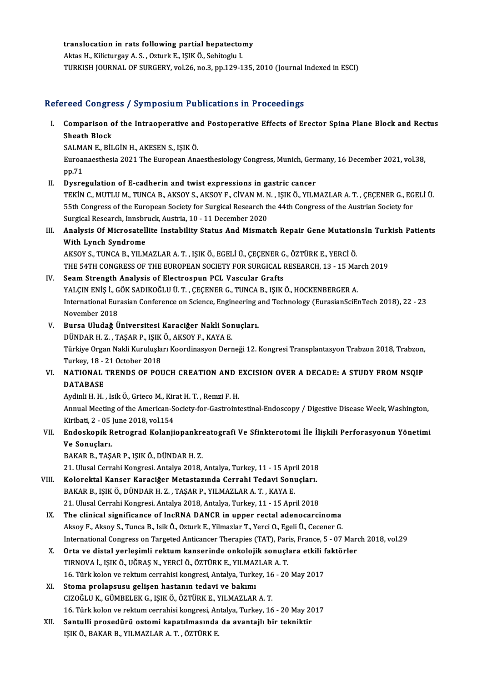translocation in rats following partial hepatectomy Aktas H., Kilicturgay A.S., Ozturk E., IŞIKÖ., Sehitoglu I. TURKISH JOURNAL OF SURGERY, vol.26, no.3, pp.129-135, 2010 (Journal Indexed in ESCI)

#### Refereed Congress / Symposium Publications in Proceedings

efereed Congress / Symposium Publications in Proceedings<br>I. Comparison of the Intraoperative and Postoperative Effects of Erector Spina Plane Block and Rectus<br>Sheath Block **Comparison of**<br>Sheath Block<br>SALMAN E. Bit Comparison of the Intraoperative an<br>Sheath Block<br>SALMAN E., BİLGİN H., AKESEN S., IŞIK Ö.<br>Euroapaesthesia 2021 The European Ars

Sheath Block<br>SALMAN E., BİLGİN H., AKESEN S., IŞIK Ö.<br>Euroanaesthesia 2021 The European Anaesthesiology Congress, Munich, Germany, 16 December 2021, vol.38,<br>nn 71 SALMA<br>Euroal<br>pp.71<br>Dysre pp.71<br>II. Dysregulation of E-cadherin and twist expressions in gastric cancer

- pp.71<br>Dysregulation of E-cadherin and twist expressions in gastric cancer<br>TEKİN C., MUTLU M., TUNCA B., AKSOY S., AKSOY F., CİVAN M. N. , IŞIK Ö., YILMAZLAR A. T. , ÇEÇENER G., EGELİ Ü<br>EEth Congress of the European Sosiaty Dysregulation of E-cadherin and twist expressions in gastric cancer<br>TEKİN C., MUTLU M., TUNCA B., AKSOY S., AKSOY F., CİVAN M. N. , IŞIK Ö., YILMAZLAR A. T. , ÇEÇENER G., EG<br>55th Congress of the European Society for Surgic TEKİN C., MUTLU M., TUNCA B., AKSOY S., AKSOY F., CİVAN M. N.<br>55th Congress of the European Society for Surgical Research th<br>Surgical Research, Innsbruck, Austria, 10 - 11 December 2020<br>Analysis Of Mismosatallite Instabili I. S5th Congress of the European Society for Surgical Research the 44th Congress of the Austrian Society for<br>Surgical Research, Innsbruck, Austria, 10 - 11 December 2020<br>III. Analysis Of Microsatellite Instability Status A
- Surgical Research, Innsbruck, Austria, 10 11 December 2020<br>Analysis Of Microsatellite Instability Status And Mismatch Repair Gene Mutation<br>With Lynch Syndrome<br>AKSOY S., TUNCA B., YILMAZLAR A. T. , ISIK Ö., EGELI Ü., CECE Analysis Of Microsatellite Instability Status And Mismatch Repair Gene Mutation<br>With Lynch Syndrome<br>AKSOY S., TUNCA B., YILMAZLAR A. T. , IŞIK Ö., EGELİ Ü., ÇEÇENER G., ÖZTÜRK E., YERCİ Ö.<br>TUE 54TU CONCRESS OF TUE EUROPEAN

THE 54TH CONGRESS OF THE EUROPEAN SOCIETY FOR SURGICAL RESEARCH, 13 - 15 March 2019

#### IV. Seam Strength Analysis of Electrospun PCL Vascular Grafts

THE 54TH CONGRESS OF THE EUROPEAN SOCIETY FOR SURGICAL RESEARCH, 13 - 15 Mai<br>Seam Strength Analysis of Electrospun PCL Vascular Grafts<br>YALÇIN ENİŞ İ., GÖK SADIKOĞLU Ü. T. , ÇEÇENER G., TUNCA B., IŞIK Ö., HOCKENBERGER A.<br>In International Eurasian Conference on Science, Engineering and Technology (EurasianSciEnTech 2018), 22 - 23<br>November 2018 YALÇIN ENİŞ İ., G<br>International Eur<br>November 2018<br>Pursa Uludağ Ü

- V. Bursa Uludağ Üniversitesi Karaciğer Nakli Sonuçları. November 2018<br>Bursa Uludağ Üniversitesi Karaciğer Nakli Sor<br>DÜNDAR H. Z. , TAŞAR P., IŞIK Ö., AKSOY F., KAYA E.<br>Türkiye Organ Nakli Kurulusları Koordinasyon Derr Bursa Uludağ Üniversitesi Karaciğer Nakli Sonuçları.<br>DÜNDAR H. Z. , TAŞAR P., IŞIK Ö., AKSOY F., KAYA E.<br>Türkiye Organ Nakli Kuruluşları Koordinasyon Derneği 12. Kongresi Transplantasyon Trabzon 2018, Trabzon,<br>Türkey 18, 2 DÜNDAR H. Z. , TAŞAR P., IŞIK<br>Türkiye Organ Nakli Kuruluşla<br>Turkey, 18 - 21 October 2018<br>NATIONAL TRENDS OF POL Türkiye Organ Nakli Kuruluşları Koordinasyon Derneği 12. Kongresi Transplantasyon Trabzon 2018, Trabzon,<br>Turkey, 18 - 21 October 2018<br>VI. NATIONAL TRENDS OF POUCH CREATION AND EXCISION OVER A DECADE: A STUDY FROM NSQIP<br>DAT
- Turkey, 18 21 October 2018<br>VI. NATIONAL TRENDS OF POUCH CREATION AND EXCISION OVER A DECADE: A STUDY FROM NSQIP<br>DATABASE NATIONAL TRENDS OF POUCH CREATION AND I<br>DATABASE<br>Aydinli H. H. , Isik Ö., Grieco M., Kirat H. T. , Remzi F. H.<br>Annual Mosting of the American Society for Castroint

Annual Meeting of the American-Society-for-Gastrointestinal-Endoscopy / Digestive Disease Week, Washington, Kiribati, 2 - 05 June 2018, vol.154 Aydinli H. H. , Isik Ö., Grieco M., Kir<br>Annual Meeting of the American-S<br>Kiribati, 2 - 05 June 2018, vol.154<br>Endeskapik Betrosrad Kelanii Annual Meeting of the American-Society-for-Gastrointestinal-Endoscopy / Digestive Disease Week, Washington,<br>Kiribati, 2 - 05 June 2018, vol.154<br>VII. Endoskopik Retrograd Kolanjiopankreatografi Ve Sfinkterotomi İle İliş

# Kiribati, 2 - 05 <mark>)</mark><br>Endoskopik R<br>Ve Sonuçları.<br>BAKAR B. TAS Ve Sonuçları.<br>BAKAR B., TAŞAR P., IŞIK Ö., DÜNDAR H. Z.

21.UlusalCerrahiKongresi.Antalya 2018,Antalya,Turkey,11 -15April2018

- VIII. Kolorektal Kanser Karaciğer Metastazında Cerrahi Tedavi Sonuçları. BAKARB., IŞIKÖ.,DÜNDARH.Z. ,TAŞARP.,YILMAZLARA.T. ,KAYAE. 21.UlusalCerrahiKongresi.Antalya 2018,Antalya,Turkey,11 -15April2018
	- IX. The clinical significance of lncRNA DANCR in upper rectal adenocarcinoma AksoyF.,Aksoy S.,TuncaB., IsikÖ.,OzturkE.,YilmazlarT.,YerciO.,EgeliÜ.,CecenerG. International Congress on Targeted Anticancer Therapies (TAT), Paris, France, 5 - 07 March 2018, vol.29 Aksoy F., Aksoy S., Tunca B., Isik Ö., Ozturk E., Yilmazlar T., Yerci O., Egeli Ü., Cecener G.<br>International Congress on Targeted Anticancer Therapies (TAT), Paris, France, 5 - 07 Mare<br>X. Orta ve distal yerleşimli rektum k
	- International Congress on Targeted Anticancer Therapies (TAT), Par<br>Orta ve distal yerleşimli rektum kanserinde onkolojik sonuçlı<br>TIRNOVA İ., IŞIK Ö., UĞRAŞ N., YERCİ Ö., ÖZTÜRK E., YILMAZLAR A. T.<br>16. Türk kalan ve rektum Orta ve distal yerleşimli rektum kanserinde onkolojik sonuçlara etkili f<br>TIRNOVA İ., IŞIK Ö., UĞRAŞ N., YERCİ Ö., ÖZTÜRK E., YILMAZLAR A. T.<br>16. Türk kolon ve rektum cerrahisi kongresi, Antalya, Turkey, 16 - 20 May 2017<br>St TIRNOVA İ., IŞIK Ö., UĞRAŞ N., YERCİ Ö., ÖZTÜRK E., YILMAZ<br>16. Türk kolon ve rektum cerrahisi kongresi, Antalya, Turke<br>XI. Stoma prolapsusu gelişen hastanın tedavi ve bakımı<br>5. Stoma prolapsusu gelişen hastanın tedavi ve b
- 16. Türk kolon ve rektum cerrahisi kongresi, Antalya, Turkey, 16 20 May 2017<br>Stoma prolapsusu gelişen hastanın tedavi ve bakımı<br>CIZOĞLU K., GÜMBELEK G., IŞIK Ö., ÖZTÜRK E., YILMAZLAR A. T. Stoma prolapsusu gelişen hastanın tedavi ve bakımı<br>CIZOĞLU K., GÜMBELEK G., IŞIK Ö., ÖZTÜRK E., YILMAZLAR A. T.<br>16. Türk kolon ve rektum cerrahisi kongresi, Antalya, Turkey, 16 - 20 May 2017<br>Santulli prosedürü estemi kanat CIZOĞLU K., GÜMBELEK G., IŞIK Ö., ÖZTÜRK E., YILMAZLAR A. T.<br>16. Türk kolon ve rektum cerrahisi kongresi, Antalya, Turkey, 16 - 20 May 20<br>XII. Santulli prosedürü ostomi kapatılmasında da avantajlı bir tekniktir<br>ISIK Ö. BAK
- 16. Türk kolon ve rektum cerrahisi kongresi, An<br>Santulli prosedürü ostomi kapatılmasında<br>IŞIK Ö., BAKAR B., YILMAZLAR A. T. , ÖZTÜRK E.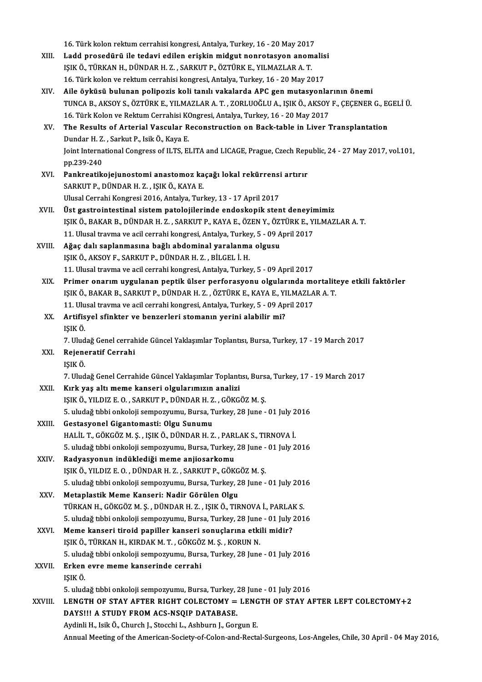|         | 16. Türk kolon rektum cerrahisi kongresi, Antalya, Turkey, 16 - 20 May 2017                                                         |
|---------|-------------------------------------------------------------------------------------------------------------------------------------|
| XIII.   | Ladd prosedürü ile tedavi edilen erişkin midgut nonrotasyon anomalisi                                                               |
|         | IŞIK Ö., TÜRKAN H., DÜNDAR H. Z., SARKUT P., ÖZTÜRK E., YILMAZLAR A. T.                                                             |
|         | 16. Türk kolon ve rektum cerrahisi kongresi, Antalya, Turkey, 16 - 20 May 2017                                                      |
| XIV.    | Aile öyküsü bulunan polipozis koli tanılı vakalarda APC gen mutasyonlarının önemi                                                   |
|         | TUNCA B., AKSOY S., ÖZTÜRK E., YILMAZLAR A. T. , ZORLUOĞLU A., IŞIK Ö., AKSOY F., ÇEÇENER G., EGELİ Ü.                              |
|         | 16. Türk Kolon ve Rektum Cerrahisi KOngresi, Antalya, Turkey, 16 - 20 May 2017                                                      |
| XV.     | The Results of Arterial Vascular Reconstruction on Back-table in Liver Transplantation<br>Dundar H. Z., Sarkut P., Isik Ö., Kaya E. |
|         | Joint International Congress of ILTS, ELITA and LICAGE, Prague, Czech Republic, 24 - 27 May 2017, vol.101,                          |
|         | pp 239-240                                                                                                                          |
| XVI.    | Pankreatikojejunostomi anastomoz kaçağı lokal rekürrensi artırır<br>SARKUT P., DÜNDAR H. Z., IŞIK Ö., KAYA E.                       |
|         | Ulusal Cerrahi Kongresi 2016, Antalya, Turkey, 13 - 17 April 2017                                                                   |
| XVII.   | Üst gastrointestinal sistem patolojilerinde endoskopik stent deneyimimiz                                                            |
|         | IŞIK Ö., BAKAR B., DÜNDAR H. Z., SARKUT P., KAYA E., ÖZEN Y., ÖZTÜRK E., YILMAZLAR A. T.                                            |
|         | 11. Ulusal travma ve acil cerrahi kongresi, Antalya, Turkey, 5 - 09 April 2017                                                      |
| XVIII.  | Ağaç dalı saplanmasına bağlı abdominal yaralanma olgusu                                                                             |
|         | IŞIK Ö., AKSOY F., SARKUT P., DÜNDAR H. Z., BİLGEL İ. H.                                                                            |
|         | 11. Ulusal travma ve acil cerrahi kongresi, Antalya, Turkey, 5 - 09 April 2017                                                      |
| XIX.    | Primer onarım uygulanan peptik ülser perforasyonu olgularında mortaliteye etkili faktörler                                          |
|         | IŞIK Ö., BAKAR B., SARKUT P., DÜNDAR H. Z., ÖZTÜRK E., KAYA E., YILMAZLAR A. T.                                                     |
|         | 11. Ulusal travma ve acil cerrahi kongresi, Antalya, Turkey, 5 - 09 April 2017                                                      |
| XX.     | Artifisyel sfinkter ve benzerleri stomanın yerini alabilir mi?                                                                      |
|         | ISIKÖ.                                                                                                                              |
|         | 7. Uludağ Genel cerrahide Güncel Yaklaşımlar Toplantısı, Bursa, Turkey, 17 - 19 March 2017                                          |
| XXI.    | Rejeneratif Cerrahi                                                                                                                 |
|         | IŞIK Ö                                                                                                                              |
|         | 7. Uludağ Genel Cerrahide Güncel Yaklaşımlar Toplantısı, Bursa, Turkey, 17 - 19 March 2017                                          |
| XXII.   | Kırk yaş altı meme kanseri olgularımızın analizi                                                                                    |
|         | IŞIK Ö., YILDIZ E. O., SARKUT P., DÜNDAR H. Z., GÖKGÖZ M. Ş.                                                                        |
|         | 5. uludağ tıbbi onkoloji sempozyumu, Bursa, Turkey, 28 June - 01 July 2016                                                          |
| XXIII.  | Gestasyonel Gigantomasti: Olgu Sunumu                                                                                               |
|         | HALİL T., GÖKGÖZ M. Ş., IŞIK Ö., DÜNDAR H. Z., PARLAK S., TIRNOVA İ.                                                                |
|         | 5. uludağ tıbbi onkoloji sempozyumu, Bursa, Turkey, 28 June - 01 July 2016                                                          |
| XXIV.   | Radyasyonun indüklediği meme anjiosarkomu                                                                                           |
|         | IŞIK Ö., YILDIZ E. O., DÜNDAR H. Z., SARKUT P., GÖKGÖZ M. Ş.                                                                        |
|         | 5. uludağ tıbbi onkoloji sempozyumu, Bursa, Turkey, 28 June - 01 July 2016                                                          |
| XXV.    | Metaplastik Meme Kanseri: Nadir Görülen Olgu                                                                                        |
|         | TÜRKAN H., GÖKGÖZ M. Ş., DÜNDAR H. Z., IŞIK Ö., TIRNOVA İ., PARLAK S.                                                               |
|         | 5. uludağ tıbbi onkoloji sempozyumu, Bursa, Turkey, 28 June - 01 July 2016                                                          |
| XXVI.   | Meme kanseri tiroid papiller kanseri sonuçlarına etkili midir?                                                                      |
|         | IŞIK Ö., TÜRKAN H., KIRDAK M. T., GÖKGÖZ M. Ş., KORUN N.                                                                            |
|         | 5. uludağ tıbbi onkoloji sempozyumu, Bursa, Turkey, 28 June - 01 July 2016                                                          |
| XXVII.  | Erken evre meme kanserinde cerrahi                                                                                                  |
|         | IŞIK Ö                                                                                                                              |
|         | 5. uludağ tıbbi onkoloji sempozyumu, Bursa, Turkey, 28 June - 01 July 2016                                                          |
| XXVIII. | LENGTH OF STAY AFTER RIGHT COLECTOMY = LENGTH OF STAY AFTER LEFT COLECTOMY+2                                                        |
|         | DAYS!!! A STUDY FROM ACS-NSQIP DATABASE.                                                                                            |
|         | Aydinli H., Isik Ö., Church J., Stocchi L., Ashburn J., Gorgun E.                                                                   |
|         | Annual Meeting of the American-Society-of-Colon-and-Rectal-Surgeons, Los-Angeles, Chile, 30 April - 04 May 2016,                    |
|         |                                                                                                                                     |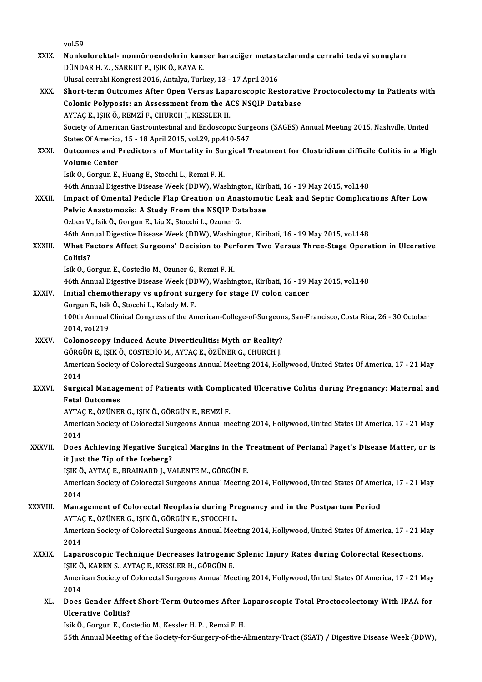vol.59

vol.59<br>XXIX. Nonkolorektal- nonnöroendokrin kanser karaciğer metastazlarında cerrahi tedavi sonuçları<br>משמש ב-19 המתוקם של המשמשים המציא המשמשים המשמשים ב-19 המשמשים ב-19 המשמשים ב-19 המשמשים ב-19 המשמשים ב-19 המש DÜNDAR H. Z., SARKUT P., IŞIK Ö., KAYA E.<br>Ulusal cerrahi Kongresi 2016, Antalya, Turkey, 13 - 17 April 2016 Nonkolorektal- nonnöroendokrin kanser karaciğer metast<br>DÜNDAR H. Z. , SARKUT P., IŞIK Ö., KAYA E.<br>Ulusal cerrahi Kongresi 2016, Antalya, Turkey, 13 - 17 April 2016<br>Shart tanın Qutsamas Aftan Onan Varaus Lananassanis Bas DÜNDAR H. Z. , SARKUT P., IŞIK Ö., KAYA E.<br>Ulusal cerrahi Kongresi 2016, Antalya, Turkey, 13 - 17 April 2016<br>XXX. Short-term Outcomes After Open Versus Laparoscopic Restorative Proctocolectomy in Patients with<br>Colonic Poly Ulusal cerrahi Kongresi 2016, Antalya, Turkey, 13 - 17 April 2016<br>Short-term Outcomes After Open Versus Laparoscopic Restorati<br>Colonic Polyposis: an Assessment from the ACS NSQIP Database<br>AYTACE ISIKÖ PEMZIE CHUPCH L KESS Short-term Outcomes After Open Versus Lapa<br>Colonic Polyposis: an Assessment from the A<br>AYTAÇ E., IŞIK Ö., REMZİ F., CHURCH J., KESSLER H.<br>Society of American Castrointestinal and Endoscon. Colonic Polyposis: an Assessment from the ACS NSQIP Database<br>AYTAÇ E., IŞIK Ö., REMZİ F., CHURCH J., KESSLER H.<br>Society of American Gastrointestinal and Endoscopic Surgeons (SAGES) Annual Meeting 2015, Nashville, United<br>St AYTAÇ E., IŞIK Ö., REMZİ F., CHURCH J., KESSLER H.<br>Society of American Gastrointestinal and Endoscopic Surg<br>States Of America, 15 - 18 April 2015, vol.29, pp.410-547<br>Qutsomes and Predistors of Mortality in Surgisel T Society of American Gastrointestinal and Endoscopic Surgeons (SAGES) Annual Meeting 2015, Nashville, United<br>States Of America, 15 - 18 April 2015, vol.29, pp.410-547<br>XXXI. Outcomes and Predictors of Mortality in Surgical T States Of America<br>Outcomes and I<br>Volume Center<br>Isik Ö. Corgun E. Outcomes and Predictors of Mortality in Sul<br>Volume Center<br>Isik Ö., Gorgun E., Huang E., Stocchi L., Remzi F. H.<br>46th Annual Disective Disease Week (DDW), Wee **Volume Center**<br>Isik Ö., Gorgun E., Huang E., Stocchi L., Remzi F. H.<br>46th Annual Digestive Disease Week (DDW), Washington, Kiribati, 16 - 19 May 2015, vol.148 Isik Ö., Gorgun E., Huang E., Stocchi L., Remzi F. H.<br>46th Annual Digestive Disease Week (DDW), Washington, Kiribati, 16 - 19 May 2015, vol.148<br>XXXII. Impact of Omental Pedicle Flap Creation on Anastomotic Leak and Septic 46th Annual Digestive Disease Week (DDW), Washington, Kiri<br>Impact of Omental Pedicle Flap Creation on Anastomot:<br>Pelvic Anastomosis: A Study From the NSQIP Database<br>Orben V, Jaik Ö, Corgun E, Liu X, Stogshi L, Oruner C Impact of Omental Pedicle Flap Creation on Ana:<br>Pelvic Anastomosis: A Study From the NSQIP Da<br>Ozben V., Isik Ö., Gorgun E., Liu X., Stocchi L., Ozuner G.<br>46th Annual Disective Disease Week (DDW), Weekingt Pelvic Anastomosis: A Study From the NSQIP Database<br>Ozben V., Isik Ö., Gorgun E., Liu X., Stocchi L., Ozuner G.<br>46th Annual Digestive Disease Week (DDW), Washington, Kiribati, 16 - 19 May 2015, vol.148 Ozben V., Isik Ö., Gorgun E., Liu X., Stocchi L., Ozuner G.<br>46th Annual Digestive Disease Week (DDW), Washington, Kiribati, 16 - 19 May 2015, vol.148<br>XXXIII. What Factors Affect Surgeons' Decision to Perform Two Versus 46th An<mark>r</mark><br>What Fa<br>Colitis? What Factors Affect Surgeons' Decision to Per<br>Colitis?<br>Isik Ö., Gorgun E., Costedio M., Ozuner G., Remzi F. H.<br>46th Annual Disective Disease Week (DDW), Weebir 6 <mark>Colitis?</mark><br>Isik Ö., Gorgun E., Costedio M., Ozuner G., Remzi F. H.<br>46th Annual Digestive Disease Week (DDW), Washington, Kiribati, 16 - 19 May 2015, vol.148 XXXIV. Initial chemotherapy vs upfront surgery for stage IV colon cancer 46th Annual Digestive Disease Week (DI<br>Initial chemotherapy vs upfront sur<br>Gorgun E., Isik Ö., Stocchi L., Kalady M. F.<br>100th Annual Clinical Congress of the An Initial chemotherapy vs upfront surgery for stage IV colon cancer<br>Gorgun E., Isik Ö., Stocchi L., Kalady M. F.<br>100th Annual Clinical Congress of the American-College-of-Surgeons, San-Francisco, Costa Rica, 26 - 30 October<br> Gorgun E., Isik<br>100th Annual<br>2014, vol.219 100th Annual Clinical Congress of the American-College-of-Surgeon<br>2014, vol.219<br>XXXV. Colonoscopy Induced Acute Diverticulitis: Myth or Reality?<br>COPCUNE ISIX O COSTEDIO M AYTACE OZUNER C CHIRCH I 2014, vol.219<br>Colonoscopy Induced Acute Diverticulitis: Myth or Reality? American Society of Colorectal Surgeons Annual Meeting 2014, Hollywood, United States Of America, 17 - 21 May<br>2014 GÖRGÜN E. ISIK Ö., COSTEDIO M., AYTAÇ E., ÖZÜNER G., CHURCH J. American Society of Colorectal Surgeons Annual Meeting 2014, Hollywood, United States Of America, 17 - 21 May<br>2014<br>XXXVI. Surgical Management of Patients with Complicated Ulcerative Colitis during Pregnancy: Maternal and 2014<br>Surgical Manage<br>Fetal Outcomes<br>AVTAC E. ÖZÜNEI Surgical Management of Patients with Compli<br>Fetal Outcomes<br>AYTAÇ E., ÖZÜNER G., IŞIK Ö., GÖRGÜN E., REMZİ F.<br>American Society of Colorectal Surgeons Annual me Fetal Outcomes<br>AYTAÇ E., ÖZÜNER G., IŞIK Ö., GÖRGÜN E., REMZİ F.<br>American Society of Colorectal Surgeons Annual meeting 2014, Hollywood, United States Of America, 17 - 21 May<br>2014 AYTA<br>Ameri<br>2014<br>Dees American Society of Colorectal Surgeons Annual meeting 2014, Hollywood, United States Of America, 17 - 21 May<br>2014 2014<br>XXXVII. Does Achieving Negative Surgical Margins in the Treatment of Perianal Paget's Disease Matter, 2014<br>Does Achieving Negative Surg<br>it Just the Tip of the Iceberg?<br>ISIKÖ AVTACE PRAINAPD LV Does Achieving Negative Surgical Margins in the T<br>it Just the Tip of the Iceberg?<br>IŞIK Ö., AYTAÇ E., BRAINARD J., VALENTE M., GÖRGÜN E.<br>American Society of Colorectal Surgeons Annual Mosting it Just the Tip of the Iceberg?<br>IŞIK Ö., AYTAÇ E., BRAINARD J., VALENTE M., GÖRGÜN E.<br>American Society of Colorectal Surgeons Annual Meeting 2014, Hollywood, United States Of America, 17 - 21 May<br>2014 IŞIK Ö<br>Ameri<br>2014<br>Mana American Society of Colorectal Surgeons Annual Meeting 2014, Hollywood, United States Of Amer<br>2014<br>XXXVIII. Management of Colorectal Neoplasia during Pregnancy and in the Postpartum Period<br>AVTACE ÖZÜNER CUSIK ÖLGERCÜNE STO 2014<br>Management of Colorectal Neoplasia during Pre<br>AYTAÇ E., ÖZÜNER G., IŞIK Ö., GÖRGÜN E., STOCCHI L.<br>American Society of Colorectal Surgeons Annual Meci Management of Colorectal Neoplasia during Pregnancy and in the Postpartum Period<br>AYTAÇ E., ÖZÜNER G., IŞIK Ö., GÖRGÜN E., STOCCHI L.<br>American Society of Colorectal Surgeons Annual Meeting 2014, Hollywood, United States Of AYTA<br>Ameri<br>2014<br>Lanat American Society of Colorectal Surgeons Annual Meeting 2014, Hollywood, United States Of America, 17 - 21 N<br>2014<br>XXXIX. Laparoscopic Technique Decreases Iatrogenic Splenic Injury Rates during Colorectal Resections. 2014<br>Laparoscopic Technique Decreases latrogenic<br>IŞIK Ö., KAREN S., AYTAÇ E., KESSLER H., GÖRGÜN E.<br>Amerisan Sesisty of Colorestel Surssons Annuel Mes Laparoscopic Technique Decreases Iatrogenic Splenic Injury Rates during Colorectal Resections.<br>IŞIK Ö., KAREN S., AYTAÇ E., KESSLER H., GÖRGÜN E.<br>American Society of Colorectal Surgeons Annual Meeting 2014, Hollywood, Unit IŞIK Ö<br>Ameri<br>2014 American Society of Colorectal Surgeons Annual Meeting 2014, Hollywood, United States Of America, 17 - 21 May<br>2014<br>XL. Does Gender Affect Short-Term Outcomes After Laparoscopic Total Proctocolectomy With IPAA for<br>Wenter Co 2014<br>Does Gender Affec<br>Ulcerative Colitis?<br><sup>Isik Ö.</sup> Corgun E. Co Does Gender Affect Short-Term Outcomes After L<br>Ulcerative Colitis?<br>Isik Ö., Gorgun E., Costedio M., Kessler H. P. , Remzi F. H.<br>EEth Annual Meeting of the Society for Surgery of the A Ulcerative Colitis?<br>Isik Ö., Gorgun E., Costedio M., Kessler H. P. , Remzi F. H.<br>55th Annual Meeting of the Society-for-Surgery-of-the-Alimentary-Tract (SSAT) / Digestive Disease Week (DDW),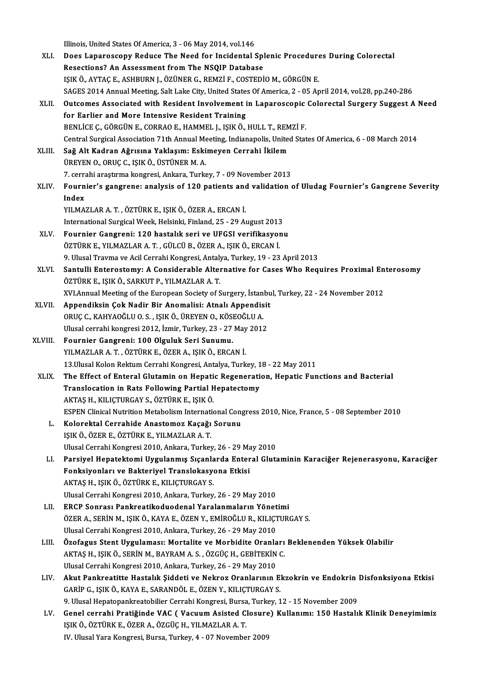Illinois, United States Of America, 3 - 06 May 2014, vol.146<br>Dess Lananessanu: Peduce The Need for Insidental (

Illinois, United States Of America, 3 - 06 May 2014, vol.146<br>XLI. Does Laparoscopy Reduce The Need for Incidental Splenic Procedures During Colorectal Illinois, United States Of America, 3 - 06 May 2014, vol.146<br>Does Laparoscopy Reduce The Need for Incidental Spl<br>Resections? An Assessment from The NSQIP Database<br>ISIK Ö. AYTACE, ASUPUPN L.ÖZÜNER C. PEMZLE, COSTEDI Does Laparoscopy Reduce The Need for Incidental Splenic Procedure<br>Resections? An Assessment from The NSQIP Database<br>IŞIK Ö., AYTAÇ E., ASHBURN J., ÖZÜNER G., REMZİ F., COSTEDİO M., GÖRGÜN E.<br>SACES 2014 Annual Mesting Solt Resections? An Assessment from The NSQIP Database<br>IŞIK Ö., AYTAÇ E., ASHBURN J., ÖZÜNER G., REMZİ F., COSTEDİO M., GÖRGÜN E.<br>SAGES 2014 Annual Meeting, Salt Lake City, United States Of America, 2 - 05 April 2014, vol.28, p IŞIK Ö., AYTAÇ E., ASHBURN J., ÖZÜNER G., REMZİ F., COSTEDİO M., GÖRGÜN E.<br>SAGES 2014 Annual Meeting, Salt Lake City, United States Of America, 2 - 05 April 2014, vol.28, pp.240-286<br>XLII. Outcomes Associated with Resid SAGES 2014 Annual Meeting, Salt Lake City, United State:<br>Outcomes Associated with Resident Involvement i<br>for Earlier and More Intensive Resident Training<br>PENLICE C. CÖRCÜNE, COPRAOE, HAMMEL LISIKÖ Outcomes Associated with Resident Involvement in Laparoscopic<br>for Earlier and More Intensive Resident Training<br>BENLİCE Ç., GÖRGÜN E., CORRAO E., HAMMEL J., IŞIK Ö., HULL T., REMZİ F.<br>Contral Surgical Association 71th Annua for Earlier and More Intensive Resident Training<br>BENLICE Ç., GÖRGÜN E., CORRAO E., HAMMEL J., IŞIK Ö., HULL T., REMZİ F.<br>Central Surgical Association 71th Annual Meeting, Indianapolis, United States Of America, 6 - 08 Marc BENLİCE Ç., GÖRGÜN E., CORRAO E., HAMMEL J., IŞIK Ö., HULL T., REM<br>Central Surgical Association 71th Annual Meeting, Indianapolis, Uniter<br>XLIII. Sağ Alt Kadran Ağrısına Yaklaşım: Eskimeyen Cerrahi İkilem<br>ÜREVEN O. ORUC G. Central Surgical Association 71th Annual Me<br>Sağ Alt Kadran Ağrısına Yaklaşım: Eski<br>ÜREYEN O., ORUÇ C., IŞIK Ö., ÜSTÜNER M. A.<br>7. cerrebi arastırma konstası Ankara Turks Sağ Alt Kadran Ağrısına Yaklaşım: Eskimeyen Cerrahi İkilem<br>ÜREYEN 0., ORUÇ C., IŞIK Ö., ÜSTÜNER M. A.<br>7. cerrahi araştırma kongresi, Ankara, Turkey, 7 - 09 November 2013<br>Fourniar's gangrana: analysis of 120 nationts and ya ÜREYEN 0., ORUÇ C., IŞIK Ö., ÜSTÜNER M. A.<br>7. cerrahi araştırma kongresi, Ankara, Turkey, 7 - 09 November 2013<br>XLIV. Fournier's gangrene: analysis of 120 patients and validation of Uludag Fournier's Gangrene Severity 7. cerra<br>Fourn<br>Index<br><sup>VII MA</sup> YILMAZLARA.T. ,ÖZTÜRKE., IŞIKÖ.,ÖZERA.,ERCANİ. I<mark>ndex</mark><br>YILMAZLAR A. T. , ÖZTÜRK E., IŞIK Ö., ÖZER A., ERCAN İ.<br>International Surgical Week, Helsinki, Finland, 25 - 29 August 2013<br>Fournian Canguani: 120 bastalık sari ve UECSI yenifikasyonı XLV. Fournier Gangreni: 120 hastalık seri ve UFGSI verifikasyonu International Surgical Week, Helsinki, Finland, 25 - 29 August 2013<br>Fournier Gangreni: 120 hastalık seri ve UFGSI verifikasyor<br>ÖZTÜRK E., YILMAZLAR A. T. , GÜLCÜ B., ÖZER A., IŞIK Ö., ERCAN İ.<br>9. Ulusel Trauma ve Asil Cerr Fournier Gangreni: 120 hastalık seri ve UFGSI verifikasyonu<br>ÖZTÜRK E., YILMAZLAR A. T. , GÜLCÜ B., ÖZER A., IŞIK Ö., ERCAN İ.<br>9. Ulusal Travma ve Acil Cerrahi Kongresi, Antalya, Turkey, 19 - 23 April 2013<br>Santulli Enterest ÖZTÜRK E., YILMAZLAR A. T. , GÜLCÜ B., ÖZER A., IŞIK Ö., ERCAN İ.<br>9. Ulusal Travma ve Acil Cerrahi Kongresi, Antalya, Turkey, 19 - 23 April 2013<br>XLVI. Santulli Enterostomy: A Considerable Alternative for Cases Who Requires 9. Ulusal Travma ve Acil Cerrahi Kongresi, Antaly<br>Santulli Enterostomy: A Considerable Alter<br>ÖZTÜRK E., IŞIK Ö., SARKUT P., YILMAZLAR A. T.<br>YVI Annual Mesting of the European Society of S Santulli Enterostomy: A Considerable Alternative for Cases Who Requires Proximal En<br>ÖZTÜRK E., IŞIK Ö., SARKUT P., YILMAZLAR A. T.<br>XVI.Annual Meeting of the European Society of Surgery, İstanbul, Turkey, 22 - 24 November 2 ÖZTÜRK E., IŞIK Ö., SARKUT P., YILMAZLAR A. T.<br>XVI.Annual Meeting of the European Society of Surgery, İstanbu<br>XLVII. Appendiksin Çok Nadir Bir Anomalisi: Atnalı Appendisit<br>OBUC G. KAHYAQĞLU Q S. ISIK Ö. ÜREVEN Q. KÖS XVI.Annual Meeting of the European Society of Surgery, İstan<br>Appendiksin Çok Nadir Bir Anomalisi: Atnalı Appendis<br>ORUÇ C., KAHYAOĞLU O. S. , IŞIK Ö., ÜREYEN O., KÖSEOĞLU A.<br>Ulusel serrebi kongresi 2012 İzmir Turkey, 22, 27 Appendiksin Çok Nadir Bir Anomalisi: Atnalı Appendisit<br>ORUÇ C., KAHYAOĞLU O. S. , IŞIK Ö., ÜREYEN O., KÖSEOĞLU A.<br>Ulusal cerrahi kongresi 2012, İzmir, Turkey, 23 - 27 May 2012<br>Fournier Cangreni: 100 Olguluk Seri Sunumu ORUÇ C., KAHYAOĞLU O. S. , IŞIK Ö., ÜREYEN O., KÖSI<br>Ulusal cerrahi kongresi 2012, İzmir, Turkey, 23 - 27<br>XLVIII. Fournier Gangreni: 100 Olguluk Seri Sunumu.<br>VII.MAZI AR A. T. ÖZTÜRK E. ÖZER A. ISIK Ö. ERCA Ulusal cerrahi kongresi 2012, İzmir, Turkey, 23 - 27 May<br>Fournier Gangreni: 100 Olguluk Seri Sunumu.<br>YILMAZLAR A. T. , ÖZTÜRK E., ÖZER A., IŞIK Ö., ERCAN İ.<br>12 Ulusal Kalan Baktum Carrabi Kangresi, Antakya Turk 13.UlmazLAR A. T. , ÖZTÜRK E., ÖZER A., IŞIK Ö., ERCAN İ.<br>13.Ulusal Kolon Rektum Cerrahi Kongresi, Antalya, Turkey, 18 - 22 May 2011 YILMAZLAR A. T. , ÖZTÜRK E., ÖZER A., IŞIK Ö., ERCAN İ.<br>13.Ulusal Kolon Rektum Cerrahi Kongresi, Antalya, Turkey, 18 - 22 May 2011<br>XLIX. The Effect of Enteral Glutamin on Hepatic Regeneration, Hepatic Functions and Bac 13.Ulusal Kolon Rektum Cerrahi Kongresi, Antalya, Turkey, 1<br>The Effect of Enteral Glutamin on Hepatic Regenerati<br>Translocation in Rats Following Partial Hepatectomy<br>AKTAS H. KU ICTURCAY S. ÖZTÜRK E. ISIK Ö The Effect of Enteral Glutamin on Hepati<br>Translocation in Rats Following Partial H<br>AKTAŞ H., KILIÇTURGAY S., ÖZTÜRK E., IŞIK Ö.<br>ESPEN Clinical Nutrition Metaboliam Internatio Translocation in Rats Following Partial Hepatectomy<br>AKTAŞ H., KILIÇTURGAY S., ÖZTÜRK E., IŞIK Ö.<br>ESPEN Clinical Nutrition Metabolism International Congress 2010, Nice, France, 5 - 08 September 2010<br>Kelerektel Conrabide Ane AKTAŞ H., KILIÇTURGAY S., ÖZTÜRK E., IŞIK Ö.<br>ESPEN Clinical Nutrition Metabolism International Conq<br>L. Kolorektal Cerrahide Anastomoz Kaçağı Sorunu<br>ISIK Ö. ÖZER E. ÖZTÜRK E. YU MAZLAR A.T. ESPEN Clinical Nutrition Metabolism Internati<br>Kolorektal Cerrahide Anastomoz Kaçağı<br>IŞIK Ö., ÖZER E., ÖZTÜRK E., YILMAZLAR A. T.<br>Illusel Cerrabi Kongresi 2010, Ankara Turkar Kolorektal Cerrahide Anastomoz Kaçağı Sorunu<br>IŞIK Ö., ÖZER E., ÖZTÜRK E., YILMAZLAR A. T.<br>Ulusal Cerrahi Kongresi 2010, Ankara, Turkey, 26 - 29 May 2010<br>Persivel Henatektemi Uygulanmış Sısanlarda Enteral Clutt IŞIK Ö., ÖZER E., ÖZTÜRK E., YILMAZLAR A. T.<br>Ulusal Cerrahi Kongresi 2010, Ankara, Turkey, 26 - 29 May 2010<br>LI. Parsiyel Hepatektomi Uygulanmış Sıçanlarda Enteral Glutaminin Karaciğer Rejenerasyonu, Karaciğer<br>Fonksiyon Ulusal Cerrahi Kongresi 2010, Ankara, Turkey, 26 - 29 Ma<br>Parsiyel Hepatektomi Uygulanmış Sıçanlarda Enter<br>Fonksiyonları ve Bakteriyel Translokasyona Etkisi<br>AKTAS H. ISIKÖ ÖZTÜRK E. KU ICTURCAY S AKTAŞ H., IŞIK Ö., ÖZTÜRK E., KILIÇTURGAY S. UlusalCerrahiKongresi2010,Ankara,Turkey,26 -29May2010 LII. ERCP Sonrası Pankreatikoduodenal Yaralanmaların Yönetimi Ulusal Cerrahi Kongresi 2010, Ankara, Turkey, 26 - 29 May 2010<br><mark>ERCP Sonrası Pankreatikoduodenal Yaralanmaların Yönetimi</mark><br>ÖZER A., SERİN M., IŞIK Ö., KAYA E., ÖZEN Y., EMİROĞLU R., KILIÇTURGAY S.<br>Ulusal Carrabi Kongresi 20 ERCP Sonrası Pankreatikoduodenal Yaralanmaların Yönet<br>ÖZER A., SERİN M., IŞIK Ö., KAYA E., ÖZEN Y., EMİROĞLU R., KILIÇT<br>Ulusal Cerrahi Kongresi 2010, Ankara, Turkey, 26 - 29 May 2010<br>Özefegue Stent Uygulemesu Mertelite ve ÖZER A., SERİN M., IŞIK Ö., KAYA E., ÖZEN Y., EMİROĞLU R., KILIÇTURGAY S.<br>Ulusal Cerrahi Kongresi 2010, Ankara, Turkey, 26 - 29 May 2010<br>LIII. Özofagus Stent Uygulaması: Mortalite ve Morbidite Oranları Beklenenden Yüks Ulusal Cerrahi Kongresi 2010, Ankara, Turkey, 26 - 29 May 2010<br>Özofagus Stent Uygulaması: Mortalite ve Morbidite Oranları<br>AKTAŞ H., IŞIK Ö., SERİN M., BAYRAM A. S. , ÖZGÜÇ H., GEBİTEKİN C.<br>Ulusal Cerrahi Kongresi 2010, Ank Özofagus Stent Uygulaması: Mortalite ve Morbidite Oranla<br>AKTAŞ H., IŞIK Ö., SERİN M., BAYRAM A. S. , ÖZGÜÇ H., GEBİTEKİN<br>Ulusal Cerrahi Kongresi 2010, Ankara, Turkey, 26 - 29 May 2010<br>Akut Bankreatitte Hastalık Siddeti ve LIV. Akut Pankreatitte Hastalık Şiddeti ve Nekroz Oranlarının Ekzokrin ve Endokrin Disfonksiyona Etkisi GARİPG., IŞIKÖ.,KAYAE.,SARANDÖL E.,ÖZENY.,KILIÇTURGAYS. Akut Pankreatitte Hastalık Şiddeti ve Nekroz Oranlarının Ekzokrin ve Endokrin |<br>GARİP G., IŞIK Ö., KAYA E., SARANDÖL E., ÖZEN Y., KILIÇTURGAY S.<br>9. Ulusal Hepatopankreatobilier Cerrahi Kongresi, Bursa, Turkey, 12 - 15 Nove GARİP G., IŞIK Ö., KAYA E., SARANDÖL E., ÖZEN Y., KILIÇTURGAY S.<br>9. Ulusal Hepatopankreatobilier Cerrahi Kongresi, Bursa, Turkey, 12 - 15 November 2009<br>LV. Genel cerrahi Pratiğinde VAC ( Vacuum Asisted Closure) Kullanı 9. Ulusal Hepatopankreatobilier Cerrahi Kongresi, Bursa<br>Genel cerrahi Pratiğinde VAC ( Vacuum Asisted C.<br>IŞIK Ö., ÖZTÜRK E., ÖZER A., ÖZGÜÇ H., YILMAZLAR A. T.<br>IV. Ulusal Yara Kongresi, Bursa Turkey, 4., OZ Nevembe Genel cerrahi Pratiğinde VAC ( Vacuum Asisted Closure<br>IŞIK Ö., ÖZTÜRK E., ÖZER A., ÖZGÜÇ H., YILMAZLAR A. T.<br>IV. Ulusal Yara Kongresi, Bursa, Turkey, 4 - 07 November 2009